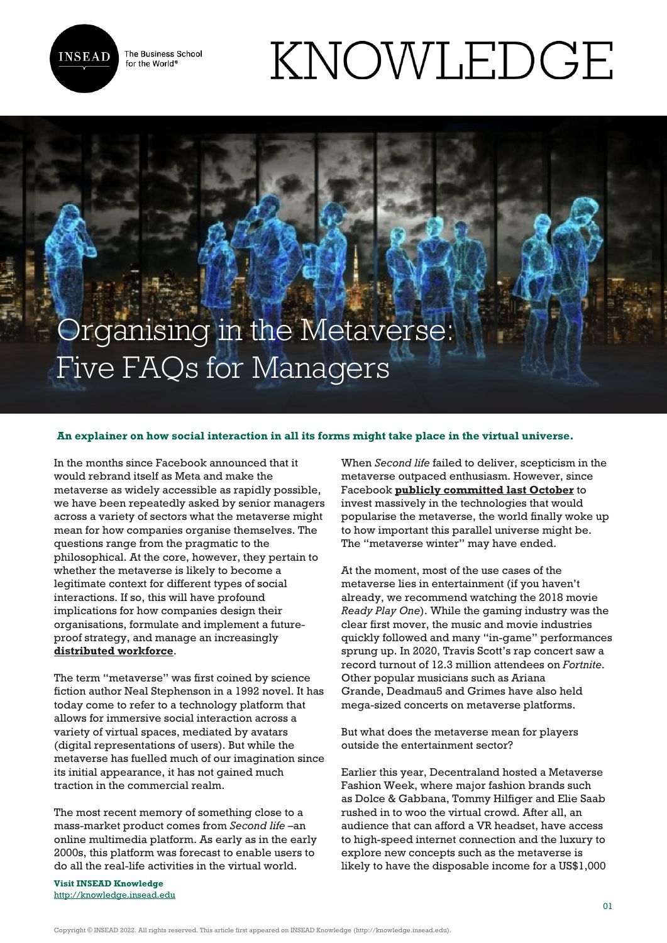

The Business School for the World<sup>®</sup>

# KNOWLEDGE

## Organising in the Metaverse: Five FAQs for Managers

#### **An explainer on how social interaction in all its forms might take place in the virtual universe.**

In the months since Facebook announced that it would rebrand itself as Meta and make the metaverse as widely accessible as rapidly possible, we have been repeatedly asked by senior managers across a variety of sectors what the metaverse might mean for how companies organise themselves. The questions range from the pragmatic to the philosophical. At the core, however, they pertain to whether the metaverse is likely to become a legitimate context for different types of social interactions. If so, this will have profound implications for how companies design their organisations, formulate and implement a futureproof strategy, and manage an increasingly **[distributed workforce](https://knowledge.insead.edu/leadership-organisations/the-nuts-and-bolts-of-working-for-an-all-remote-company-14481)**.

The term "metaverse" was first coined by science fiction author Neal Stephenson in a 1992 novel. It has today come to refer to a technology platform that allows for immersive social interaction across a variety of virtual spaces, mediated by avatars (digital representations of users). But while the metaverse has fuelled much of our imagination since its initial appearance, it has not gained much traction in the commercial realm.

The most recent memory of something close to a mass-market product comes from *Second life* –an online multimedia platform. As early as in the early 2000s, this platform was forecast to enable users to do all the real-life activities in the virtual world.

**Visit INSEAD Knowledge** <http://knowledge.insead.edu> When *Second life* failed to deliver, scepticism in the metaverse outpaced enthusiasm. However, since Facebook **[publicly committed last October](https://knowledge.insead.edu/blog/insead-blog/why-facebook-is-rebranding-itself-as-meta-18091)** to invest massively in the technologies that would popularise the metaverse, the world finally woke up to how important this parallel universe might be. The "metaverse winter" may have ended.

At the moment, most of the use cases of the metaverse lies in entertainment (if you haven't already, we recommend watching the 2018 movie *Ready Play One*). While the gaming industry was the clear first mover, the music and movie industries quickly followed and many "in-game" performances sprung up. In 2020, Travis Scott's rap concert saw a record turnout of 12.3 million attendees on *Fortnite*. Other popular musicians such as Ariana Grande, Deadmau5 and Grimes have also held mega-sized concerts on metaverse platforms.

But what does the metaverse mean for players outside the entertainment sector?

Earlier this year, Decentraland hosted a Metaverse Fashion Week, where major fashion brands such as Dolce & Gabbana, Tommy Hilfiger and Elie Saab rushed in to woo the virtual crowd. After all, an audience that can afford a VR headset, have access to high-speed internet connection and the luxury to explore new concepts such as the metaverse is likely to have the disposable income for a US\$1,000

Copyright © INSEAD 2022. All rights reserved. This article first appeared on INSEAD Knowledge (http://knowledge.insead.edu).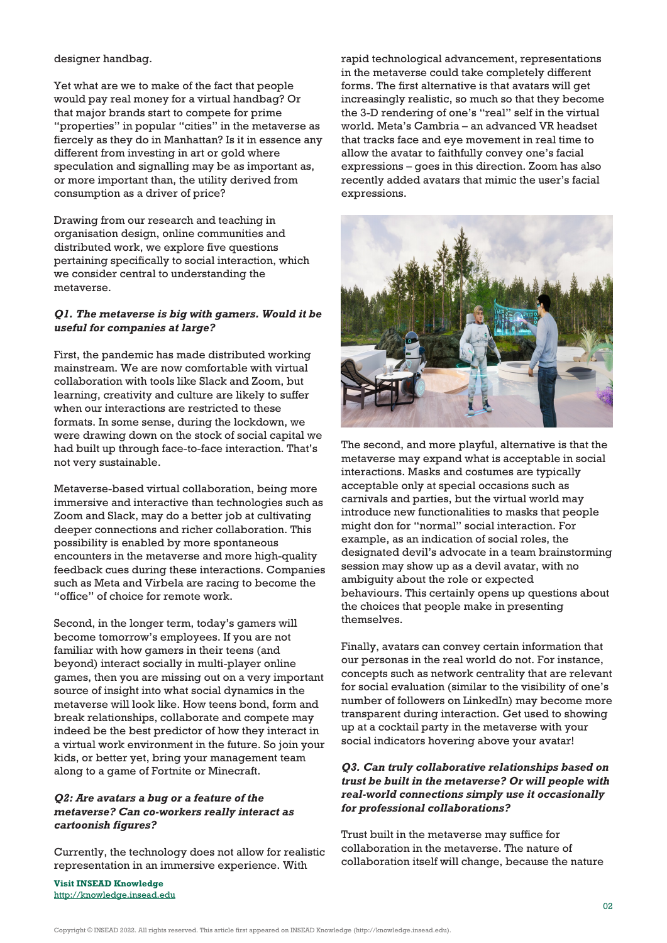#### designer handbag.

Yet what are we to make of the fact that people would pay real money for a virtual handbag? Or that major brands start to compete for prime "properties" in popular "cities" in the metaverse as fiercely as they do in Manhattan? Is it in essence any different from investing in art or gold where speculation and signalling may be as important as, or more important than, the utility derived from consumption as a driver of price?

Drawing from our research and teaching in organisation design, online communities and distributed work, we explore five questions pertaining specifically to social interaction, which we consider central to understanding the metaverse.

#### *Q1. The metaverse is big with gamers. Would it be useful for companies at large?*

First, the pandemic has made distributed working mainstream. We are now comfortable with virtual collaboration with tools like Slack and Zoom, but learning, creativity and culture are likely to suffer when our interactions are restricted to these formats. In some sense, during the lockdown, we were drawing down on the stock of social capital we had built up through face-to-face interaction. That's not very sustainable.

Metaverse-based virtual collaboration, being more immersive and interactive than technologies such as Zoom and Slack, may do a better job at cultivating deeper connections and richer collaboration. This possibility is enabled by more spontaneous encounters in the metaverse and more high-quality feedback cues during these interactions. Companies such as Meta and Virbela are racing to become the "office" of choice for remote work.

Second, in the longer term, today's gamers will become tomorrow's employees. If you are not familiar with how gamers in their teens (and beyond) interact socially in multi-player online games, then you are missing out on a very important source of insight into what social dynamics in the metaverse will look like. How teens bond, form and break relationships, collaborate and compete may indeed be the best predictor of how they interact in a virtual work environment in the future. So join your kids, or better yet, bring your management team along to a game of Fortnite or Minecraft.

#### *Q2: Are avatars a bug or a feature of the metaverse? Can co-workers really interact as cartoonish figures?*

Currently, the technology does not allow for realistic representation in an immersive experience. With

**Visit INSEAD Knowledge** <http://knowledge.insead.edu> rapid technological advancement, representations in the metaverse could take completely different forms. The first alternative is that avatars will get increasingly realistic, so much so that they become the 3-D rendering of one's "real" self in the virtual world. Meta's Cambria – an advanced VR headset that tracks face and eye movement in real time to allow the avatar to faithfully convey one's facial expressions – goes in this direction. Zoom has also recently added avatars that mimic the user's facial expressions.



The second, and more playful, alternative is that the metaverse may expand what is acceptable in social interactions. Masks and costumes are typically acceptable only at special occasions such as carnivals and parties, but the virtual world may introduce new functionalities to masks that people might don for "normal" social interaction. For example, as an indication of social roles, the designated devil's advocate in a team brainstorming session may show up as a devil avatar, with no ambiguity about the role or expected behaviours. This certainly opens up questions about the choices that people make in presenting themselves.

Finally, avatars can convey certain information that our personas in the real world do not. For instance, concepts such as network centrality that are relevant for social evaluation (similar to the visibility of one's number of followers on LinkedIn) may become more transparent during interaction. Get used to showing up at a cocktail party in the metaverse with your social indicators hovering above your avatar!

### *Q3. Can truly collaborative relationships based on trust be built in the metaverse? Or will people with real-world connections simply use it occasionally for professional collaborations?*

Trust built in the metaverse may suffice for collaboration in the metaverse. The nature of collaboration itself will change, because the nature

Copyright © INSEAD 2022. All rights reserved. This article first appeared on INSEAD Knowledge (http://knowledge.insead.edu).